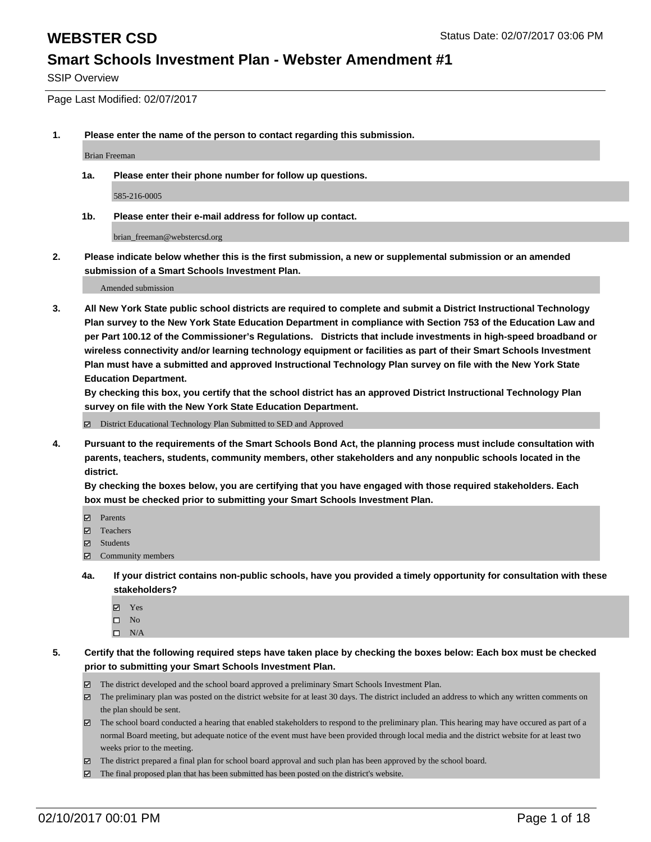SSIP Overview

Page Last Modified: 02/07/2017

**1. Please enter the name of the person to contact regarding this submission.**

Brian Freeman

**1a. Please enter their phone number for follow up questions.**

585-216-0005

**1b. Please enter their e-mail address for follow up contact.**

brian\_freeman@webstercsd.org

**2. Please indicate below whether this is the first submission, a new or supplemental submission or an amended submission of a Smart Schools Investment Plan.**

Amended submission

**3. All New York State public school districts are required to complete and submit a District Instructional Technology Plan survey to the New York State Education Department in compliance with Section 753 of the Education Law and per Part 100.12 of the Commissioner's Regulations. Districts that include investments in high-speed broadband or wireless connectivity and/or learning technology equipment or facilities as part of their Smart Schools Investment Plan must have a submitted and approved Instructional Technology Plan survey on file with the New York State Education Department.** 

**By checking this box, you certify that the school district has an approved District Instructional Technology Plan survey on file with the New York State Education Department.**

District Educational Technology Plan Submitted to SED and Approved

**4. Pursuant to the requirements of the Smart Schools Bond Act, the planning process must include consultation with parents, teachers, students, community members, other stakeholders and any nonpublic schools located in the district.** 

**By checking the boxes below, you are certifying that you have engaged with those required stakeholders. Each box must be checked prior to submitting your Smart Schools Investment Plan.**

- **Parents**
- Teachers
- **冈** Students
- Community members
- **4a. If your district contains non-public schools, have you provided a timely opportunity for consultation with these stakeholders?**
	- Yes
	- $\square$  No
	- $\square$  N/A
- **5. Certify that the following required steps have taken place by checking the boxes below: Each box must be checked prior to submitting your Smart Schools Investment Plan.**
	- The district developed and the school board approved a preliminary Smart Schools Investment Plan.
	- The preliminary plan was posted on the district website for at least 30 days. The district included an address to which any written comments on the plan should be sent.
	- The school board conducted a hearing that enabled stakeholders to respond to the preliminary plan. This hearing may have occured as part of a normal Board meeting, but adequate notice of the event must have been provided through local media and the district website for at least two weeks prior to the meeting.
	- The district prepared a final plan for school board approval and such plan has been approved by the school board.
	- $\boxtimes$  The final proposed plan that has been submitted has been posted on the district's website.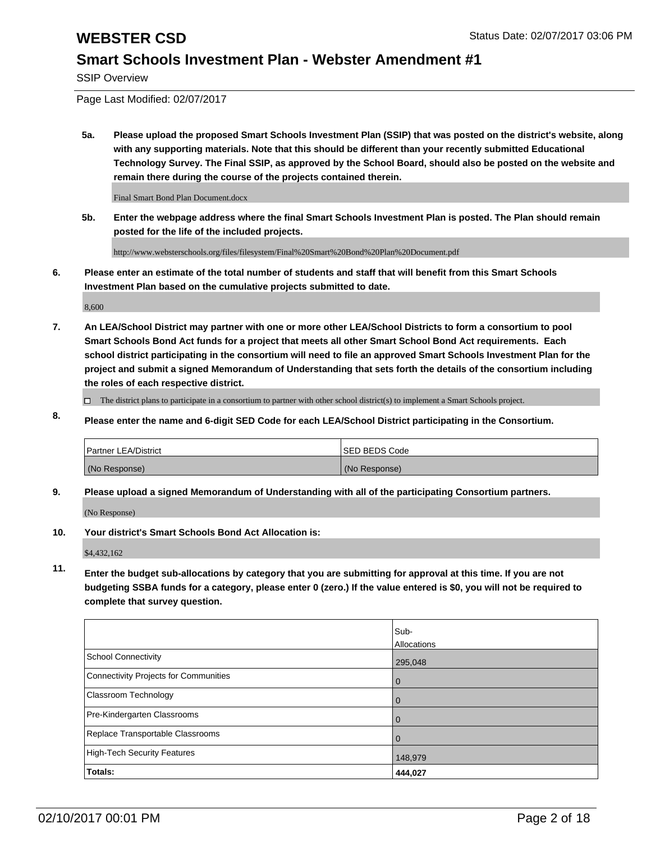SSIP Overview

Page Last Modified: 02/07/2017

**5a. Please upload the proposed Smart Schools Investment Plan (SSIP) that was posted on the district's website, along with any supporting materials. Note that this should be different than your recently submitted Educational Technology Survey. The Final SSIP, as approved by the School Board, should also be posted on the website and remain there during the course of the projects contained therein.**

Final Smart Bond Plan Document.docx

**5b. Enter the webpage address where the final Smart Schools Investment Plan is posted. The Plan should remain posted for the life of the included projects.**

http://www.websterschools.org/files/filesystem/Final%20Smart%20Bond%20Plan%20Document.pdf

**6. Please enter an estimate of the total number of students and staff that will benefit from this Smart Schools Investment Plan based on the cumulative projects submitted to date.**

8,600

- **7. An LEA/School District may partner with one or more other LEA/School Districts to form a consortium to pool Smart Schools Bond Act funds for a project that meets all other Smart School Bond Act requirements. Each school district participating in the consortium will need to file an approved Smart Schools Investment Plan for the project and submit a signed Memorandum of Understanding that sets forth the details of the consortium including the roles of each respective district.**
	- $\Box$  The district plans to participate in a consortium to partner with other school district(s) to implement a Smart Schools project.
- **8. Please enter the name and 6-digit SED Code for each LEA/School District participating in the Consortium.**

| <b>Partner LEA/District</b> | <b>ISED BEDS Code</b> |
|-----------------------------|-----------------------|
| (No Response)               | (No Response)         |

**9. Please upload a signed Memorandum of Understanding with all of the participating Consortium partners.**

(No Response)

**10. Your district's Smart Schools Bond Act Allocation is:**

\$4,432,162

**11. Enter the budget sub-allocations by category that you are submitting for approval at this time. If you are not budgeting SSBA funds for a category, please enter 0 (zero.) If the value entered is \$0, you will not be required to complete that survey question.**

|                                       | Sub-        |
|---------------------------------------|-------------|
|                                       | Allocations |
| School Connectivity                   | 295,048     |
| Connectivity Projects for Communities | O           |
| <b>Classroom Technology</b>           |             |
| Pre-Kindergarten Classrooms           |             |
| Replace Transportable Classrooms      |             |
| High-Tech Security Features           | 148,979     |
| Totals:                               | 444,027     |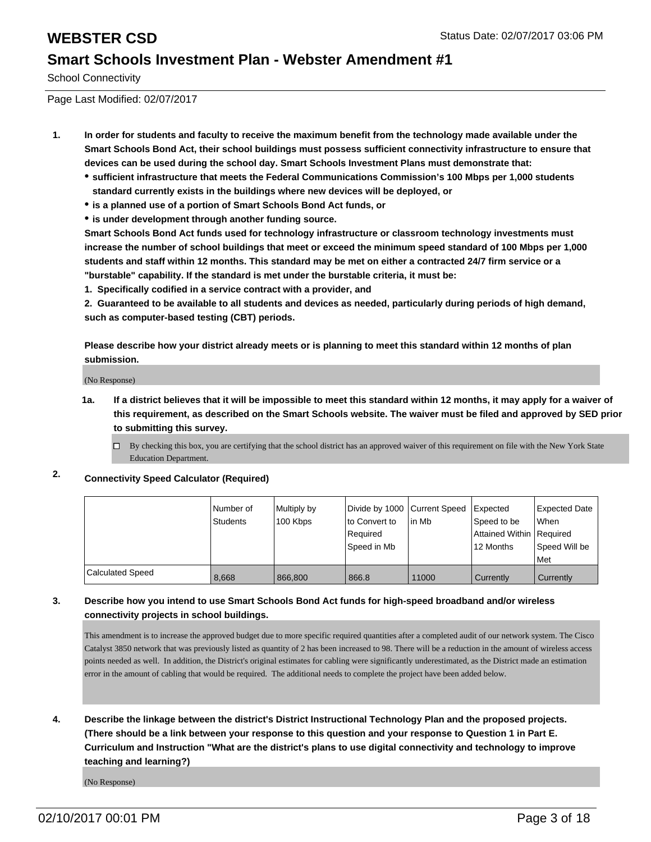School Connectivity

Page Last Modified: 02/07/2017

- **1. In order for students and faculty to receive the maximum benefit from the technology made available under the Smart Schools Bond Act, their school buildings must possess sufficient connectivity infrastructure to ensure that devices can be used during the school day. Smart Schools Investment Plans must demonstrate that:**
	- **sufficient infrastructure that meets the Federal Communications Commission's 100 Mbps per 1,000 students standard currently exists in the buildings where new devices will be deployed, or**
	- **is a planned use of a portion of Smart Schools Bond Act funds, or**
	- **is under development through another funding source.**

**Smart Schools Bond Act funds used for technology infrastructure or classroom technology investments must increase the number of school buildings that meet or exceed the minimum speed standard of 100 Mbps per 1,000 students and staff within 12 months. This standard may be met on either a contracted 24/7 firm service or a "burstable" capability. If the standard is met under the burstable criteria, it must be:**

**1. Specifically codified in a service contract with a provider, and**

**2. Guaranteed to be available to all students and devices as needed, particularly during periods of high demand, such as computer-based testing (CBT) periods.**

**Please describe how your district already meets or is planning to meet this standard within 12 months of plan submission.**

(No Response)

**1a. If a district believes that it will be impossible to meet this standard within 12 months, it may apply for a waiver of this requirement, as described on the Smart Schools website. The waiver must be filed and approved by SED prior to submitting this survey.**

 $\Box$ By checking this box, you are certifying that the school district has an approved waiver of this requirement on file with the New York State Education Department.

**2. Connectivity Speed Calculator (Required)**

|                         | I Number of<br>Students | Multiply by<br>100 Kbps | Divide by 1000 Current Speed<br>Ito Convert to<br>l Reauired<br> Speed in Mb | l in Mb | Expected<br>Speed to be<br>Attained Within   Required<br>12 Months | Expected Date<br><b>When</b><br>Speed Will be<br>Met |
|-------------------------|-------------------------|-------------------------|------------------------------------------------------------------------------|---------|--------------------------------------------------------------------|------------------------------------------------------|
| <b>Calculated Speed</b> | 8.668                   | 866,800                 | 866.8                                                                        | 11000   | Currently                                                          | Currently                                            |

### **3. Describe how you intend to use Smart Schools Bond Act funds for high-speed broadband and/or wireless connectivity projects in school buildings.**

This amendment is to increase the approved budget due to more specific required quantities after a completed audit of our network system. The Cisco Catalyst 3850 network that was previously listed as quantity of 2 has been increased to 98. There will be a reduction in the amount of wireless access points needed as well. In addition, the District's original estimates for cabling were significantly underestimated, as the District made an estimation error in the amount of cabling that would be required. The additional needs to complete the project have been added below.

**4. Describe the linkage between the district's District Instructional Technology Plan and the proposed projects. (There should be a link between your response to this question and your response to Question 1 in Part E. Curriculum and Instruction "What are the district's plans to use digital connectivity and technology to improve teaching and learning?)**

(No Response)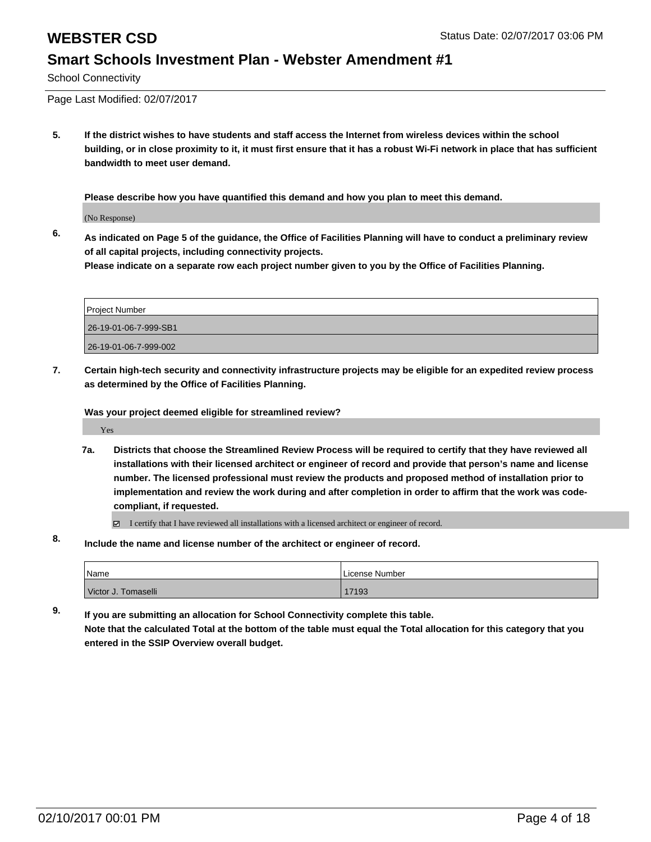School Connectivity

Page Last Modified: 02/07/2017

**5. If the district wishes to have students and staff access the Internet from wireless devices within the school building, or in close proximity to it, it must first ensure that it has a robust Wi-Fi network in place that has sufficient bandwidth to meet user demand.**

**Please describe how you have quantified this demand and how you plan to meet this demand.**

(No Response)

**6. As indicated on Page 5 of the guidance, the Office of Facilities Planning will have to conduct a preliminary review of all capital projects, including connectivity projects.**

**Please indicate on a separate row each project number given to you by the Office of Facilities Planning.**

| Project Number        |  |
|-----------------------|--|
| 26-19-01-06-7-999-SB1 |  |
| 26-19-01-06-7-999-002 |  |

**7. Certain high-tech security and connectivity infrastructure projects may be eligible for an expedited review process as determined by the Office of Facilities Planning.**

**Was your project deemed eligible for streamlined review?**

Yes

**7a. Districts that choose the Streamlined Review Process will be required to certify that they have reviewed all installations with their licensed architect or engineer of record and provide that person's name and license number. The licensed professional must review the products and proposed method of installation prior to implementation and review the work during and after completion in order to affirm that the work was codecompliant, if requested.**

■ I certify that I have reviewed all installations with a licensed architect or engineer of record.

**8. Include the name and license number of the architect or engineer of record.**

| 'Name                  | License Number |
|------------------------|----------------|
| Tomaselli<br>Victor J. | 17193          |

**9. If you are submitting an allocation for School Connectivity complete this table. Note that the calculated Total at the bottom of the table must equal the Total allocation for this category that you entered in the SSIP Overview overall budget.**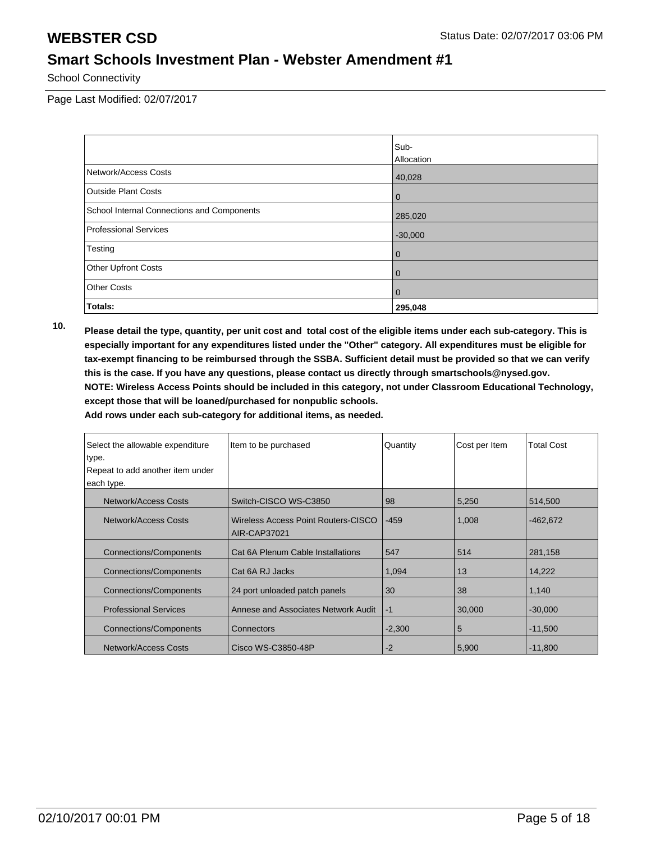School Connectivity

Page Last Modified: 02/07/2017

|                                            | Sub-           |
|--------------------------------------------|----------------|
|                                            | Allocation     |
| Network/Access Costs                       | 40,028         |
| Outside Plant Costs                        | 0              |
| School Internal Connections and Components | 285,020        |
| Professional Services                      | $-30,000$      |
| Testing                                    | 0              |
| Other Upfront Costs                        | 0              |
| <b>Other Costs</b>                         | $\overline{0}$ |
| Totals:                                    | 295,048        |

**10. Please detail the type, quantity, per unit cost and total cost of the eligible items under each sub-category. This is especially important for any expenditures listed under the "Other" category. All expenditures must be eligible for tax-exempt financing to be reimbursed through the SSBA. Sufficient detail must be provided so that we can verify this is the case. If you have any questions, please contact us directly through smartschools@nysed.gov. NOTE: Wireless Access Points should be included in this category, not under Classroom Educational Technology, except those that will be loaned/purchased for nonpublic schools.**

| Select the allowable expenditure          | Item to be purchased                                | Quantity | Cost per Item | <b>Total Cost</b> |
|-------------------------------------------|-----------------------------------------------------|----------|---------------|-------------------|
| type.<br>Repeat to add another item under |                                                     |          |               |                   |
| each type.                                |                                                     |          |               |                   |
|                                           |                                                     |          |               |                   |
| Network/Access Costs                      | Switch-CISCO WS-C3850                               | 98       | 5,250         | 514,500           |
| Network/Access Costs                      | Wireless Access Point Routers-CISCO<br>AIR-CAP37021 | $-459$   | 1,008         | $-462,672$        |
| Connections/Components                    | Cat 6A Plenum Cable Installations                   | 547      | 514           | 281,158           |
| <b>Connections/Components</b>             | Cat 6A RJ Jacks                                     | 1,094    | 13            | 14,222            |
| <b>Connections/Components</b>             | 24 port unloaded patch panels                       | 30       | 38            | 1,140             |
| <b>Professional Services</b>              | Annese and Associates Network Audit                 | $-1$     | 30,000        | $-30.000$         |
| <b>Connections/Components</b>             | Connectors                                          | $-2,300$ | 5             | $-11,500$         |
| Network/Access Costs                      | Cisco WS-C3850-48P                                  | $-2$     | 5,900         | $-11,800$         |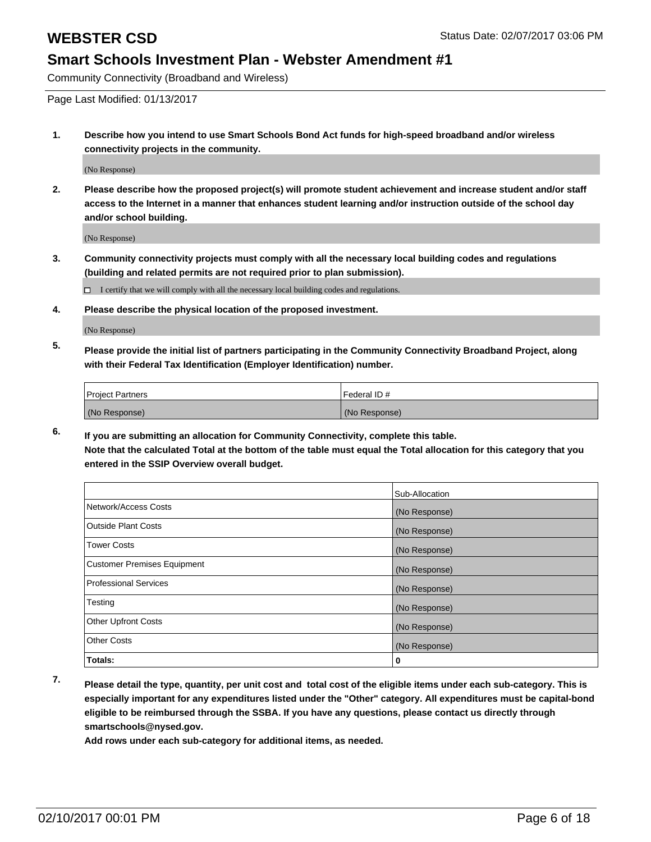Community Connectivity (Broadband and Wireless)

Page Last Modified: 01/13/2017

**1. Describe how you intend to use Smart Schools Bond Act funds for high-speed broadband and/or wireless connectivity projects in the community.**

(No Response)

**2. Please describe how the proposed project(s) will promote student achievement and increase student and/or staff access to the Internet in a manner that enhances student learning and/or instruction outside of the school day and/or school building.**

(No Response)

**3. Community connectivity projects must comply with all the necessary local building codes and regulations (building and related permits are not required prior to plan submission).**

 $\Box$  I certify that we will comply with all the necessary local building codes and regulations.

**4. Please describe the physical location of the proposed investment.**

(No Response)

**5. Please provide the initial list of partners participating in the Community Connectivity Broadband Project, along with their Federal Tax Identification (Employer Identification) number.**

| <b>Project Partners</b> | <b>IFederal ID#</b> |
|-------------------------|---------------------|
| (No Response)           | (No Response)       |

**6. If you are submitting an allocation for Community Connectivity, complete this table. Note that the calculated Total at the bottom of the table must equal the Total allocation for this category that you entered in the SSIP Overview overall budget.**

|                                    | Sub-Allocation |
|------------------------------------|----------------|
|                                    |                |
| Network/Access Costs               | (No Response)  |
| <b>Outside Plant Costs</b>         | (No Response)  |
| <b>Tower Costs</b>                 | (No Response)  |
| <b>Customer Premises Equipment</b> | (No Response)  |
| <b>Professional Services</b>       | (No Response)  |
| Testing                            | (No Response)  |
| <b>Other Upfront Costs</b>         | (No Response)  |
| <b>Other Costs</b>                 | (No Response)  |
| Totals:                            | 0              |

**7. Please detail the type, quantity, per unit cost and total cost of the eligible items under each sub-category. This is especially important for any expenditures listed under the "Other" category. All expenditures must be capital-bond eligible to be reimbursed through the SSBA. If you have any questions, please contact us directly through smartschools@nysed.gov.**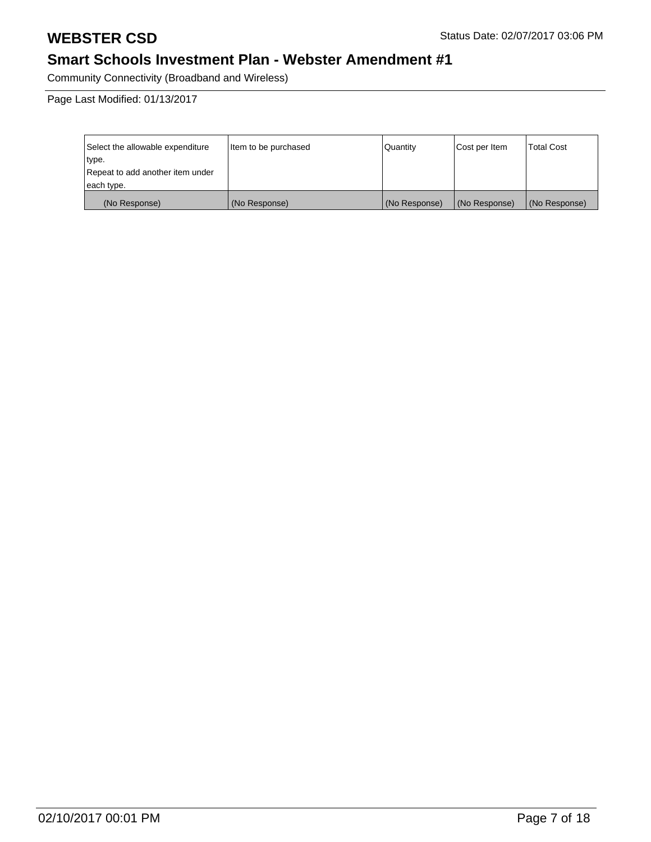Community Connectivity (Broadband and Wireless)

Page Last Modified: 01/13/2017

| Select the allowable expenditure | Item to be purchased | Quantity      | Cost per Item | <b>Total Cost</b> |
|----------------------------------|----------------------|---------------|---------------|-------------------|
| type.                            |                      |               |               |                   |
| Repeat to add another item under |                      |               |               |                   |
| each type.                       |                      |               |               |                   |
| (No Response)                    | (No Response)        | (No Response) | (No Response) | (No Response)     |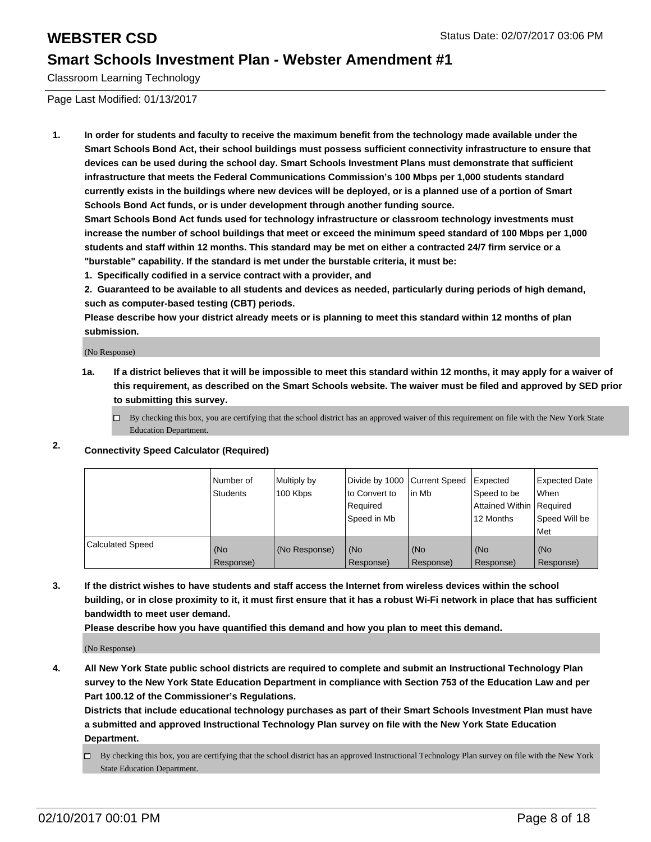Classroom Learning Technology

Page Last Modified: 01/13/2017

**1. In order for students and faculty to receive the maximum benefit from the technology made available under the Smart Schools Bond Act, their school buildings must possess sufficient connectivity infrastructure to ensure that devices can be used during the school day. Smart Schools Investment Plans must demonstrate that sufficient infrastructure that meets the Federal Communications Commission's 100 Mbps per 1,000 students standard currently exists in the buildings where new devices will be deployed, or is a planned use of a portion of Smart Schools Bond Act funds, or is under development through another funding source.**

**Smart Schools Bond Act funds used for technology infrastructure or classroom technology investments must increase the number of school buildings that meet or exceed the minimum speed standard of 100 Mbps per 1,000 students and staff within 12 months. This standard may be met on either a contracted 24/7 firm service or a "burstable" capability. If the standard is met under the burstable criteria, it must be:**

**1. Specifically codified in a service contract with a provider, and**

**2. Guaranteed to be available to all students and devices as needed, particularly during periods of high demand, such as computer-based testing (CBT) periods.**

**Please describe how your district already meets or is planning to meet this standard within 12 months of plan submission.**

(No Response)

- **1a. If a district believes that it will be impossible to meet this standard within 12 months, it may apply for a waiver of this requirement, as described on the Smart Schools website. The waiver must be filed and approved by SED prior to submitting this survey.**
	- $\Box$  By checking this box, you are certifying that the school district has an approved waiver of this requirement on file with the New York State Education Department.
- **2. Connectivity Speed Calculator (Required)**

|                         | Number of<br>Students | Multiply by<br>100 Kbps | Divide by 1000 Current Speed<br>Ito Convert to<br>Required<br>l Speed in Mb | lin Mb           | Expected<br>Speed to be<br>Attained Within   Required<br>12 Months | Expected Date<br><b>When</b><br>Speed Will be<br>l Met |
|-------------------------|-----------------------|-------------------------|-----------------------------------------------------------------------------|------------------|--------------------------------------------------------------------|--------------------------------------------------------|
| <b>Calculated Speed</b> | (No<br>Response)      | (No Response)           | (No<br>Response)                                                            | (No<br>Response) | (No<br>Response)                                                   | l (No<br>Response)                                     |

**3. If the district wishes to have students and staff access the Internet from wireless devices within the school building, or in close proximity to it, it must first ensure that it has a robust Wi-Fi network in place that has sufficient bandwidth to meet user demand.**

**Please describe how you have quantified this demand and how you plan to meet this demand.**

(No Response)

**4. All New York State public school districts are required to complete and submit an Instructional Technology Plan survey to the New York State Education Department in compliance with Section 753 of the Education Law and per Part 100.12 of the Commissioner's Regulations.**

**Districts that include educational technology purchases as part of their Smart Schools Investment Plan must have a submitted and approved Instructional Technology Plan survey on file with the New York State Education Department.**

By checking this box, you are certifying that the school district has an approved Instructional Technology Plan survey on file with the New York State Education Department.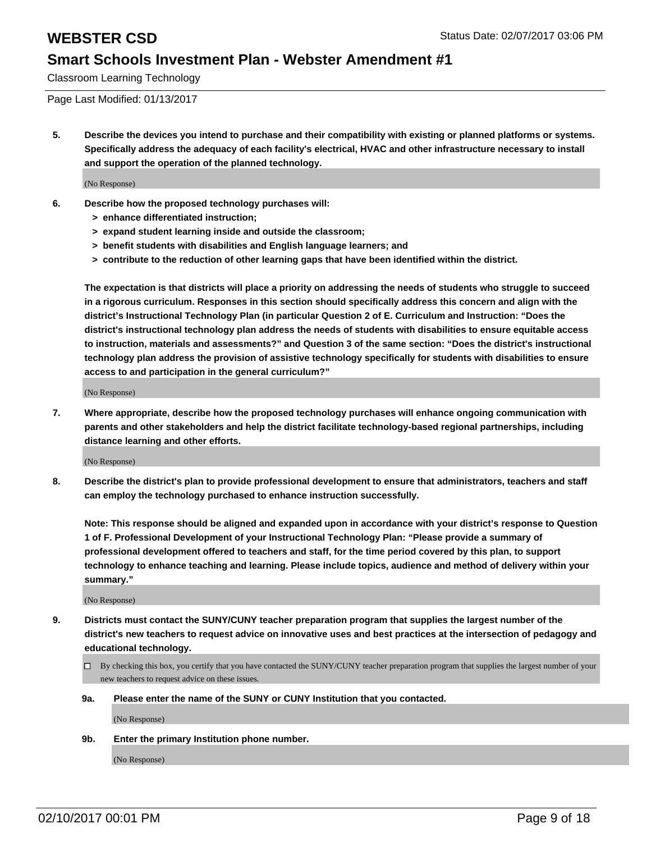Classroom Learning Technology

Page Last Modified: 01/13/2017

**5. Describe the devices you intend to purchase and their compatibility with existing or planned platforms or systems. Specifically address the adequacy of each facility's electrical, HVAC and other infrastructure necessary to install and support the operation of the planned technology.**

(No Response)

- **6. Describe how the proposed technology purchases will:**
	- **> enhance differentiated instruction;**
	- **> expand student learning inside and outside the classroom;**
	- **> benefit students with disabilities and English language learners; and**
	- **> contribute to the reduction of other learning gaps that have been identified within the district.**

**The expectation is that districts will place a priority on addressing the needs of students who struggle to succeed in a rigorous curriculum. Responses in this section should specifically address this concern and align with the district's Instructional Technology Plan (in particular Question 2 of E. Curriculum and Instruction: "Does the district's instructional technology plan address the needs of students with disabilities to ensure equitable access to instruction, materials and assessments?" and Question 3 of the same section: "Does the district's instructional technology plan address the provision of assistive technology specifically for students with disabilities to ensure access to and participation in the general curriculum?"**

(No Response)

**7. Where appropriate, describe how the proposed technology purchases will enhance ongoing communication with parents and other stakeholders and help the district facilitate technology-based regional partnerships, including distance learning and other efforts.**

(No Response)

**8. Describe the district's plan to provide professional development to ensure that administrators, teachers and staff can employ the technology purchased to enhance instruction successfully.**

**Note: This response should be aligned and expanded upon in accordance with your district's response to Question 1 of F. Professional Development of your Instructional Technology Plan: "Please provide a summary of professional development offered to teachers and staff, for the time period covered by this plan, to support technology to enhance teaching and learning. Please include topics, audience and method of delivery within your summary."**

(No Response)

- **9. Districts must contact the SUNY/CUNY teacher preparation program that supplies the largest number of the district's new teachers to request advice on innovative uses and best practices at the intersection of pedagogy and educational technology.**
	- By checking this box, you certify that you have contacted the SUNY/CUNY teacher preparation program that supplies the largest number of your new teachers to request advice on these issues.
	- **9a. Please enter the name of the SUNY or CUNY Institution that you contacted.**

(No Response)

**9b. Enter the primary Institution phone number.**

(No Response)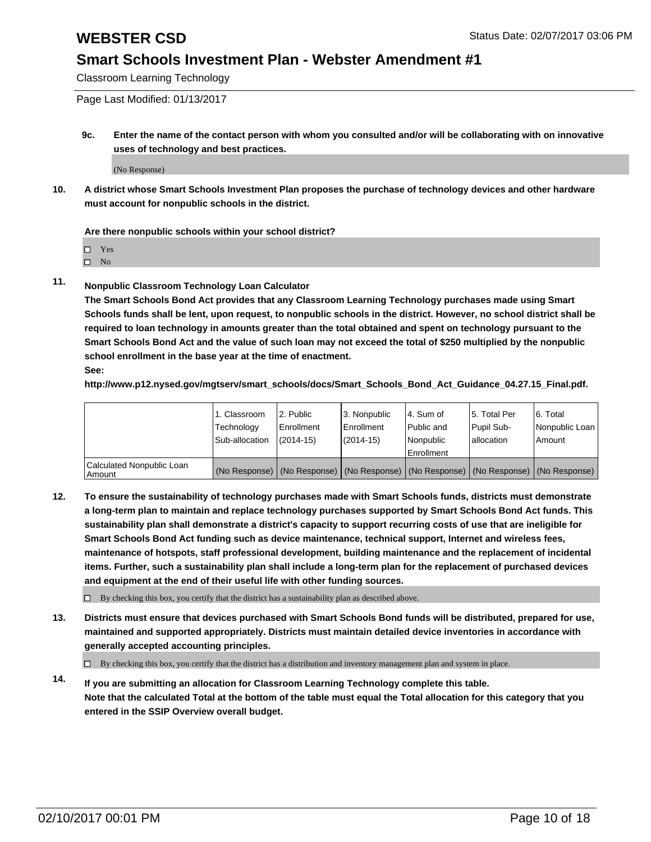Classroom Learning Technology

Page Last Modified: 01/13/2017

**9c. Enter the name of the contact person with whom you consulted and/or will be collaborating with on innovative uses of technology and best practices.**

(No Response)

**10. A district whose Smart Schools Investment Plan proposes the purchase of technology devices and other hardware must account for nonpublic schools in the district.**

**Are there nonpublic schools within your school district?**

Yes

 $\square$  No

**11. Nonpublic Classroom Technology Loan Calculator**

**The Smart Schools Bond Act provides that any Classroom Learning Technology purchases made using Smart Schools funds shall be lent, upon request, to nonpublic schools in the district. However, no school district shall be required to loan technology in amounts greater than the total obtained and spent on technology pursuant to the Smart Schools Bond Act and the value of such loan may not exceed the total of \$250 multiplied by the nonpublic school enrollment in the base year at the time of enactment. See:**

**http://www.p12.nysed.gov/mgtserv/smart\_schools/docs/Smart\_Schools\_Bond\_Act\_Guidance\_04.27.15\_Final.pdf.**

|                                       | 1. Classroom<br>Technology<br>Sub-allocation | l 2. Public<br>Enrollment<br>$(2014 - 15)$ | 3. Nonpublic<br>Enrollment<br>$(2014 - 15)$                                                   | l 4. Sum of<br>l Public and<br>l Nonpublic<br>Enrollment | 5. Total Per<br>Pupil Sub-<br>lallocation | 6. Total<br>Nonpublic Loan<br>Amount |
|---------------------------------------|----------------------------------------------|--------------------------------------------|-----------------------------------------------------------------------------------------------|----------------------------------------------------------|-------------------------------------------|--------------------------------------|
| Calculated Nonpublic Loan<br>  Amount |                                              |                                            | (No Response)   (No Response)   (No Response)   (No Response)   (No Response)   (No Response) |                                                          |                                           |                                      |

**12. To ensure the sustainability of technology purchases made with Smart Schools funds, districts must demonstrate a long-term plan to maintain and replace technology purchases supported by Smart Schools Bond Act funds. This sustainability plan shall demonstrate a district's capacity to support recurring costs of use that are ineligible for Smart Schools Bond Act funding such as device maintenance, technical support, Internet and wireless fees, maintenance of hotspots, staff professional development, building maintenance and the replacement of incidental items. Further, such a sustainability plan shall include a long-term plan for the replacement of purchased devices and equipment at the end of their useful life with other funding sources.**

 $\Box$  By checking this box, you certify that the district has a sustainability plan as described above.

**13. Districts must ensure that devices purchased with Smart Schools Bond funds will be distributed, prepared for use, maintained and supported appropriately. Districts must maintain detailed device inventories in accordance with generally accepted accounting principles.**

 $\Box$  By checking this box, you certify that the district has a distribution and inventory management plan and system in place.

**14. If you are submitting an allocation for Classroom Learning Technology complete this table. Note that the calculated Total at the bottom of the table must equal the Total allocation for this category that you entered in the SSIP Overview overall budget.**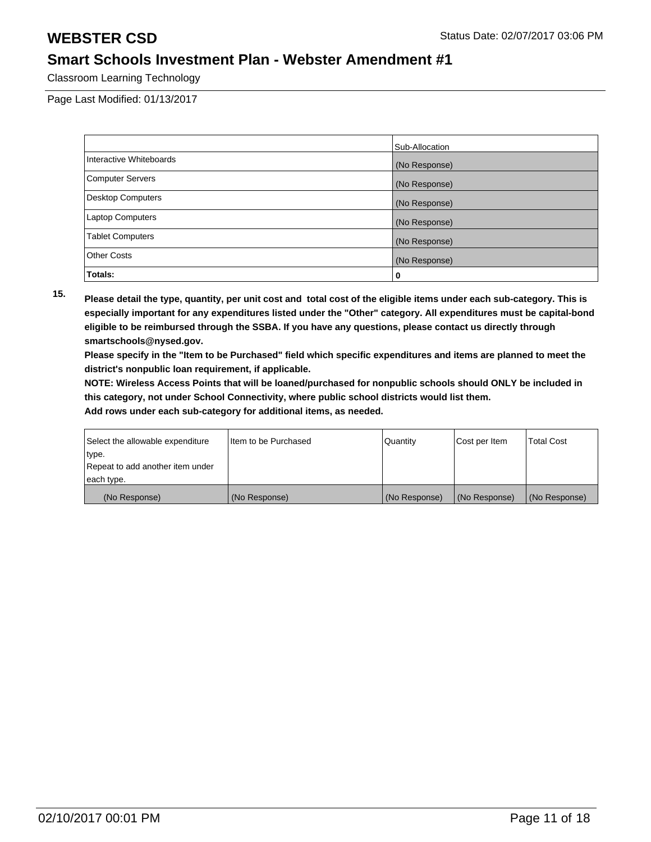Classroom Learning Technology

Page Last Modified: 01/13/2017

|                          | Sub-Allocation |
|--------------------------|----------------|
| Interactive Whiteboards  | (No Response)  |
| <b>Computer Servers</b>  | (No Response)  |
| <b>Desktop Computers</b> | (No Response)  |
| Laptop Computers         | (No Response)  |
| <b>Tablet Computers</b>  | (No Response)  |
| <b>Other Costs</b>       | (No Response)  |
| Totals:                  | 0              |

**15. Please detail the type, quantity, per unit cost and total cost of the eligible items under each sub-category. This is especially important for any expenditures listed under the "Other" category. All expenditures must be capital-bond eligible to be reimbursed through the SSBA. If you have any questions, please contact us directly through smartschools@nysed.gov.**

**Please specify in the "Item to be Purchased" field which specific expenditures and items are planned to meet the district's nonpublic loan requirement, if applicable.**

**NOTE: Wireless Access Points that will be loaned/purchased for nonpublic schools should ONLY be included in this category, not under School Connectivity, where public school districts would list them.**

| Select the allowable expenditure | I Item to be Purchased | Quantity        | Cost per Item | <b>Total Cost</b> |
|----------------------------------|------------------------|-----------------|---------------|-------------------|
| ∣type.                           |                        |                 |               |                   |
| Repeat to add another item under |                        |                 |               |                   |
| each type.                       |                        |                 |               |                   |
| (No Response)                    | (No Response)          | l (No Response) | (No Response) | (No Response)     |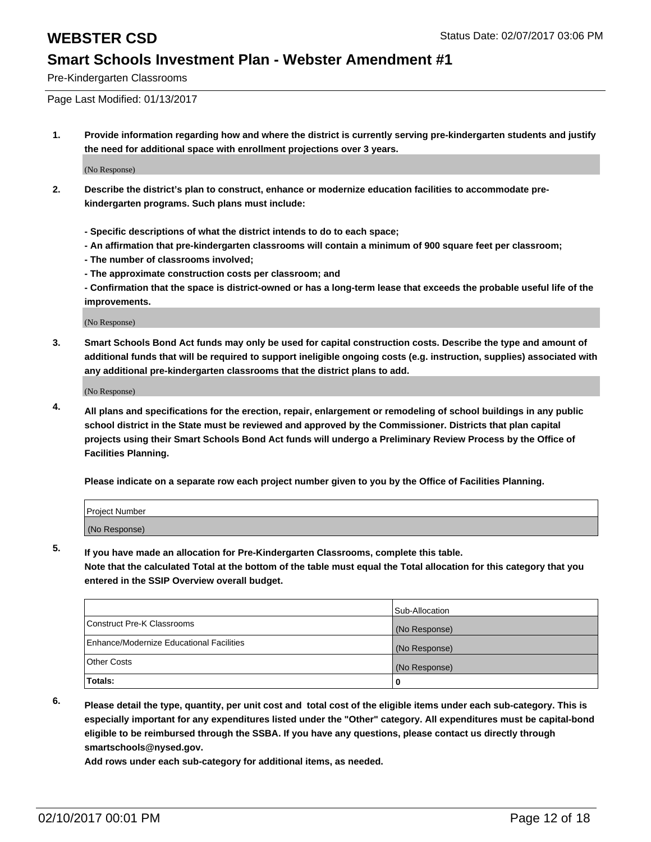Pre-Kindergarten Classrooms

Page Last Modified: 01/13/2017

**1. Provide information regarding how and where the district is currently serving pre-kindergarten students and justify the need for additional space with enrollment projections over 3 years.**

(No Response)

- **2. Describe the district's plan to construct, enhance or modernize education facilities to accommodate prekindergarten programs. Such plans must include:**
	- **Specific descriptions of what the district intends to do to each space;**
	- **An affirmation that pre-kindergarten classrooms will contain a minimum of 900 square feet per classroom;**
	- **The number of classrooms involved;**
	- **The approximate construction costs per classroom; and**
	- **Confirmation that the space is district-owned or has a long-term lease that exceeds the probable useful life of the improvements.**

(No Response)

**3. Smart Schools Bond Act funds may only be used for capital construction costs. Describe the type and amount of additional funds that will be required to support ineligible ongoing costs (e.g. instruction, supplies) associated with any additional pre-kindergarten classrooms that the district plans to add.**

(No Response)

**4. All plans and specifications for the erection, repair, enlargement or remodeling of school buildings in any public school district in the State must be reviewed and approved by the Commissioner. Districts that plan capital projects using their Smart Schools Bond Act funds will undergo a Preliminary Review Process by the Office of Facilities Planning.**

**Please indicate on a separate row each project number given to you by the Office of Facilities Planning.**

| Project Number |  |  |
|----------------|--|--|
| (No Response)  |  |  |

**5. If you have made an allocation for Pre-Kindergarten Classrooms, complete this table.**

**Note that the calculated Total at the bottom of the table must equal the Total allocation for this category that you entered in the SSIP Overview overall budget.**

|                                          | Sub-Allocation |
|------------------------------------------|----------------|
| Construct Pre-K Classrooms               | (No Response)  |
| Enhance/Modernize Educational Facilities | (No Response)  |
| Other Costs                              | (No Response)  |
| Totals:                                  |                |

**6. Please detail the type, quantity, per unit cost and total cost of the eligible items under each sub-category. This is especially important for any expenditures listed under the "Other" category. All expenditures must be capital-bond eligible to be reimbursed through the SSBA. If you have any questions, please contact us directly through smartschools@nysed.gov.**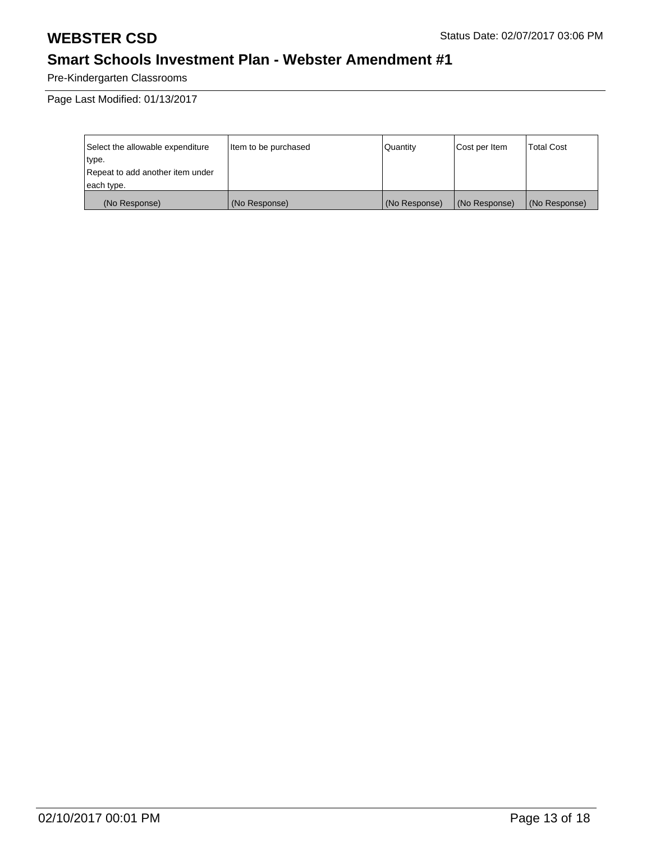Pre-Kindergarten Classrooms

Page Last Modified: 01/13/2017

| Select the allowable expenditure | litem to be purchased | Quantity      | Cost per Item | <b>Total Cost</b> |
|----------------------------------|-----------------------|---------------|---------------|-------------------|
| type.                            |                       |               |               |                   |
| Repeat to add another item under |                       |               |               |                   |
| each type.                       |                       |               |               |                   |
| (No Response)                    | (No Response)         | (No Response) | (No Response) | (No Response)     |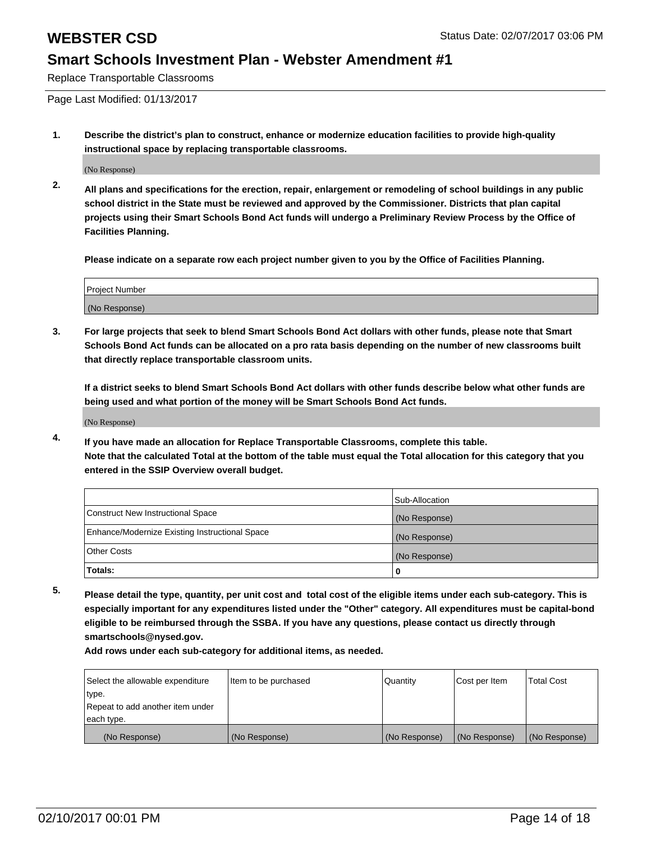Replace Transportable Classrooms

Page Last Modified: 01/13/2017

**1. Describe the district's plan to construct, enhance or modernize education facilities to provide high-quality instructional space by replacing transportable classrooms.**

(No Response)

**2. All plans and specifications for the erection, repair, enlargement or remodeling of school buildings in any public school district in the State must be reviewed and approved by the Commissioner. Districts that plan capital projects using their Smart Schools Bond Act funds will undergo a Preliminary Review Process by the Office of Facilities Planning.**

**Please indicate on a separate row each project number given to you by the Office of Facilities Planning.**

| <b>Project Number</b> |  |
|-----------------------|--|
| (No Response)         |  |

**3. For large projects that seek to blend Smart Schools Bond Act dollars with other funds, please note that Smart Schools Bond Act funds can be allocated on a pro rata basis depending on the number of new classrooms built that directly replace transportable classroom units.**

**If a district seeks to blend Smart Schools Bond Act dollars with other funds describe below what other funds are being used and what portion of the money will be Smart Schools Bond Act funds.**

(No Response)

**4. If you have made an allocation for Replace Transportable Classrooms, complete this table. Note that the calculated Total at the bottom of the table must equal the Total allocation for this category that you entered in the SSIP Overview overall budget.**

|                                                | Sub-Allocation |
|------------------------------------------------|----------------|
| Construct New Instructional Space              | (No Response)  |
| Enhance/Modernize Existing Instructional Space | (No Response)  |
| <b>Other Costs</b>                             | (No Response)  |
| Totals:                                        |                |

**5. Please detail the type, quantity, per unit cost and total cost of the eligible items under each sub-category. This is especially important for any expenditures listed under the "Other" category. All expenditures must be capital-bond eligible to be reimbursed through the SSBA. If you have any questions, please contact us directly through smartschools@nysed.gov.**

| Select the allowable expenditure | Item to be purchased | Quantity      | Cost per Item | <b>Total Cost</b> |
|----------------------------------|----------------------|---------------|---------------|-------------------|
| type.                            |                      |               |               |                   |
| Repeat to add another item under |                      |               |               |                   |
| each type.                       |                      |               |               |                   |
| (No Response)                    | (No Response)        | (No Response) | (No Response) | (No Response)     |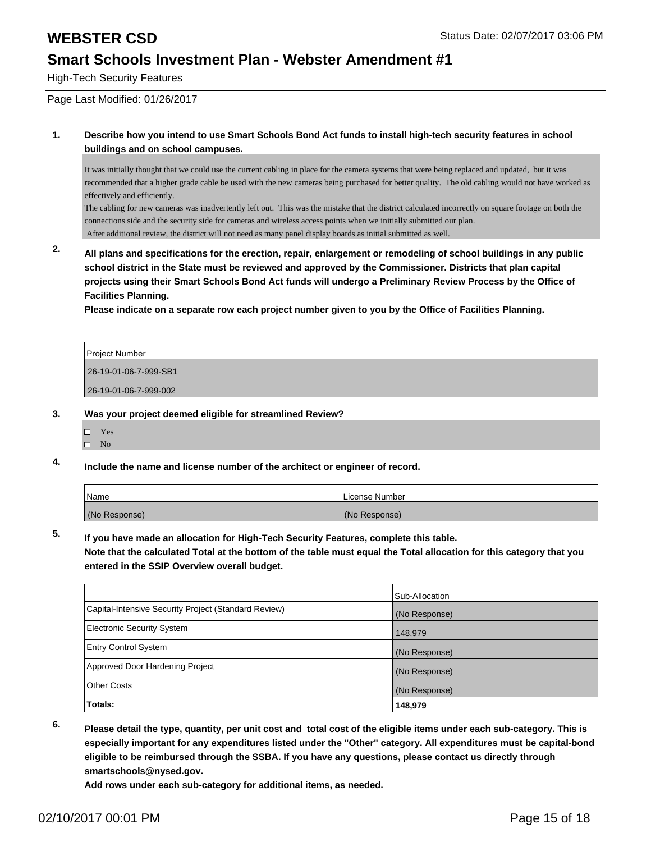High-Tech Security Features

Page Last Modified: 01/26/2017

### **1. Describe how you intend to use Smart Schools Bond Act funds to install high-tech security features in school buildings and on school campuses.**

It was initially thought that we could use the current cabling in place for the camera systems that were being replaced and updated, but it was recommended that a higher grade cable be used with the new cameras being purchased for better quality. The old cabling would not have worked as effectively and efficiently.

The cabling for new cameras was inadvertently left out. This was the mistake that the district calculated incorrectly on square footage on both the connections side and the security side for cameras and wireless access points when we initially submitted our plan. After additional review, the district will not need as many panel display boards as initial submitted as well.

**2. All plans and specifications for the erection, repair, enlargement or remodeling of school buildings in any public school district in the State must be reviewed and approved by the Commissioner. Districts that plan capital projects using their Smart Schools Bond Act funds will undergo a Preliminary Review Process by the Office of Facilities Planning.** 

**Please indicate on a separate row each project number given to you by the Office of Facilities Planning.**

| <b>Project Number</b> |  |
|-----------------------|--|
| 26-19-01-06-7-999-SB1 |  |
| 26-19-01-06-7-999-002 |  |
|                       |  |

### **3. Was your project deemed eligible for streamlined Review?**

Yes  $\square$  No

### **4. Include the name and license number of the architect or engineer of record.**

| Name          | License Number |
|---------------|----------------|
| (No Response) | (No Response)  |

**5. If you have made an allocation for High-Tech Security Features, complete this table.**

**Note that the calculated Total at the bottom of the table must equal the Total allocation for this category that you entered in the SSIP Overview overall budget.**

|                                                      | Sub-Allocation |
|------------------------------------------------------|----------------|
| Capital-Intensive Security Project (Standard Review) | (No Response)  |
| <b>Electronic Security System</b>                    | 148,979        |
| <b>Entry Control System</b>                          | (No Response)  |
| Approved Door Hardening Project                      | (No Response)  |
| <b>Other Costs</b>                                   | (No Response)  |
| Totals:                                              | 148,979        |

**6. Please detail the type, quantity, per unit cost and total cost of the eligible items under each sub-category. This is especially important for any expenditures listed under the "Other" category. All expenditures must be capital-bond eligible to be reimbursed through the SSBA. If you have any questions, please contact us directly through smartschools@nysed.gov.**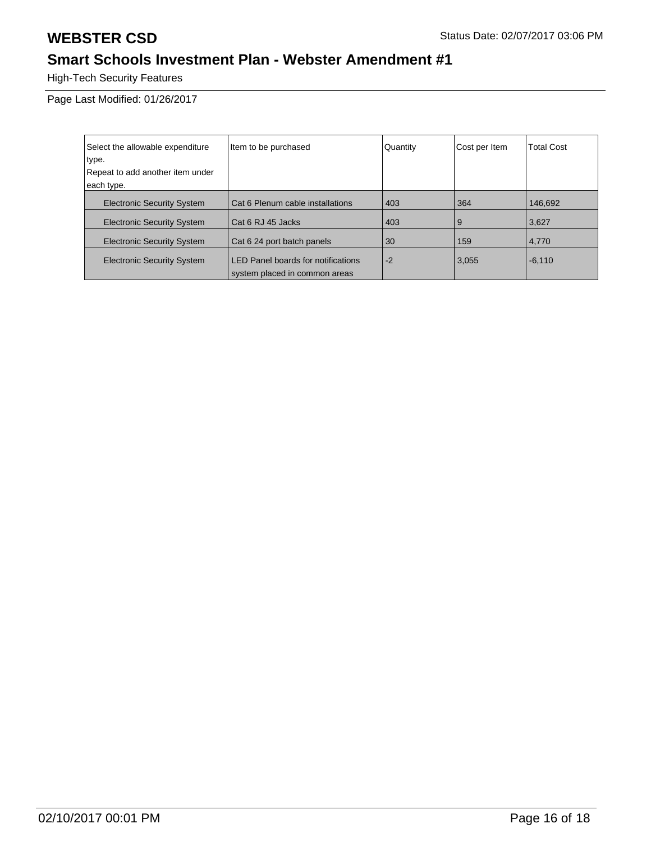High-Tech Security Features

Page Last Modified: 01/26/2017

| Select the allowable expenditure<br>type.<br>Repeat to add another item under<br>each type. | Item to be purchased                                                       | Quantity | Cost per Item | <b>Total Cost</b> |
|---------------------------------------------------------------------------------------------|----------------------------------------------------------------------------|----------|---------------|-------------------|
|                                                                                             | Cat 6 Plenum cable installations                                           | 403      | 364           |                   |
| <b>Electronic Security System</b>                                                           |                                                                            |          |               | 146,692           |
| <b>Electronic Security System</b>                                                           | Cat 6 RJ 45 Jacks                                                          | 403      | 9             | 3,627             |
| <b>Electronic Security System</b>                                                           | Cat 6 24 port batch panels                                                 | 30       | 159           | 4,770             |
| <b>Electronic Security System</b>                                                           | <b>LED Panel boards for notifications</b><br>system placed in common areas | $-2$     | 3,055         | $-6,110$          |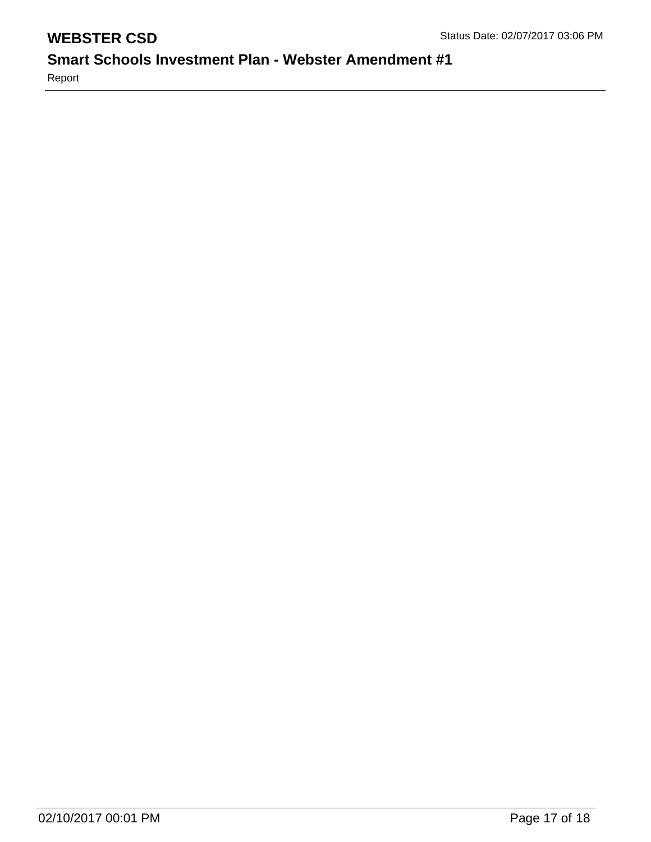Report